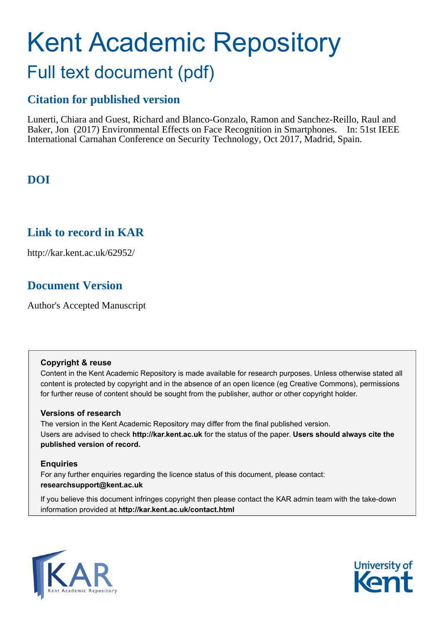# Kent Academic Repository Full text document (pdf)

## **Citation for published version**

Lunerti, Chiara and Guest, Richard and Blanco-Gonzalo, Ramon and Sanchez-Reillo, Raul and Baker, Jon (2017) Environmental Effects on Face Recognition in Smartphones. In: 51st IEEE International Carnahan Conference on Security Technology, Oct 2017, Madrid, Spain.

## **DOI**

### **Link to record in KAR**

http://kar.kent.ac.uk/62952/

## **Document Version**

Author's Accepted Manuscript

#### **Copyright & reuse**

Content in the Kent Academic Repository is made available for research purposes. Unless otherwise stated all content is protected by copyright and in the absence of an open licence (eg Creative Commons), permissions for further reuse of content should be sought from the publisher, author or other copyright holder.

#### **Versions of research**

The version in the Kent Academic Repository may differ from the final published version. Users are advised to check **http://kar.kent.ac.uk** for the status of the paper. **Users should always cite the published version of record.**

#### **Enquiries**

For any further enquiries regarding the licence status of this document, please contact: **researchsupport@kent.ac.uk**

If you believe this document infringes copyright then please contact the KAR admin team with the take-down information provided at **http://kar.kent.ac.uk/contact.html**



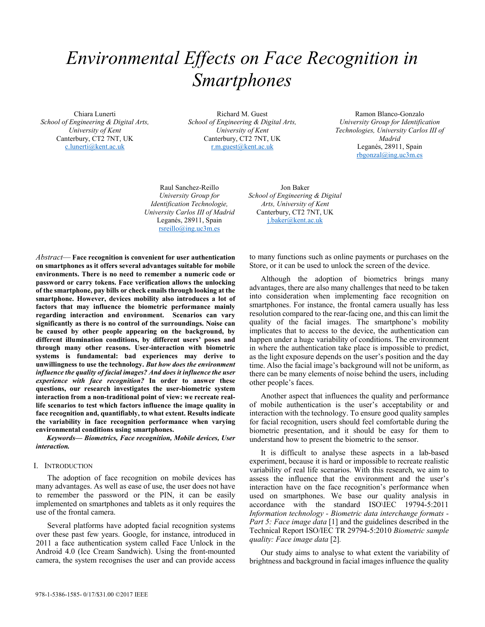## *Environmental Effects on Face Recognition in Smartphones*

Chiara Lunerti *School of Engineering & Digital Arts, University of Kent*  Canterbury, CT2 7NT, UK c.lunerti@kent.ac.uk

Richard M. Guest *School of Engineering & Digital Arts, University of Kent*  Canterbury, CT2 7NT, UK r.m.guest@kent.ac.uk

Ramon Blanco-Gonzalo *University Group for Identification Technologies, University Carlos III of Madrid* Leganés, 28911, Spain rbgonzal@ing.uc3m.es

Raul Sanchez-Reillo *University Group for Identification Technologie, University Carlos III of Madrid*  Leganés, 28911, Spain rsreillo@ing.uc3m.es

Abstract—Face recognition is convenient for user authentication **on smartphones as it offers several advantages suitable for mobile environments. There is no need to remember a numeric code or password or carry tokens. Face verification allows the unlocking of the smartphone, pay bills or check emails through looking at the smartphone. However, devices mobility also introduces a lot of factors that may influence the biometric performance mainly regarding interaction and environment. Scenarios can vary significantly as there is no control of the surroundings. Noise can be caused by other people appearing on the background, by**  different illumination conditions, by different users' poses and **through many other reasons. User-interaction with biometric systems is fundamental: bad experiences may derive to unwillingness to use the technology.** *But how does the environment influence the quality of facial images? And does it influence the user experience with face recognition?* **In order to answer these questions, our research investigates the user-biometric system interaction from a non-traditional point of view: we recreate reallife scenarios to test which factors influence the image quality in face recognition and, quantifiably, to what extent. Results indicate the variability in face recognition performance when varying environmental conditions using smartphones.**

Keywords-Biometrics, Face recognition, Mobile devices, User *interaction.* 

#### I. INTRODUCTION

The adoption of face recognition on mobile devices has many advantages. As well as ease of use, the user does not have to remember the password or the PIN, it can be easily implemented on smartphones and tablets as it only requires the use of the frontal camera.

Several platforms have adopted facial recognition systems over these past few years. Google, for instance, introduced in 2011 a face authentication system called Face Unlock in the Android 4.0 (Ice Cream Sandwich). Using the front-mounted camera, the system recognises the user and can provide access

Jon Baker *School of Engineering & Digital Arts, University of Kent*  Canterbury, CT2 7NT, UK j.baker@kent.ac.uk

to many functions such as online payments or purchases on the Store, or it can be used to unlock the screen of the device.

Although the adoption of biometrics brings many advantages, there are also many challenges that need to be taken into consideration when implementing face recognition on smartphones. For instance, the frontal camera usually has less resolution compared to the rear-facing one, and this can limit the quality of the facial images. The smartphone's mobility implicates that to access to the device, the authentication can happen under a huge variability of conditions. The environment in where the authentication take place is impossible to predict, as the light exposure depends on the user's position and the day time. Also the facial image's background will not be uniform, as there can be many elements of noise behind the users, including other people's faces.

Another aspect that influences the quality and performance of mobile authentication is the user's acceptability or and interaction with the technology. To ensure good quality samples for facial recognition, users should feel comfortable during the biometric presentation, and it should be easy for them to understand how to present the biometric to the sensor.

It is difficult to analyse these aspects in a lab-based experiment, because it is hard or impossible to recreate realistic variability of real life scenarios. With this research, we aim to assess the influence that the environment and the user's interaction have on the face recognition's performance when used on smartphones. We base our quality analysis in accordance with the standard ISO\IEC 19794-5:2011 *Information technology - Biometric data interchange formats - Part 5: Face image data* [1] and the guidelines described in the Technical Report ISO/IEC TR 29794-5:2010 *Biometric sample quality: Face image data* [2]*.* 

Our study aims to analyse to what extent the variability of brightness and background in facial images influence the quality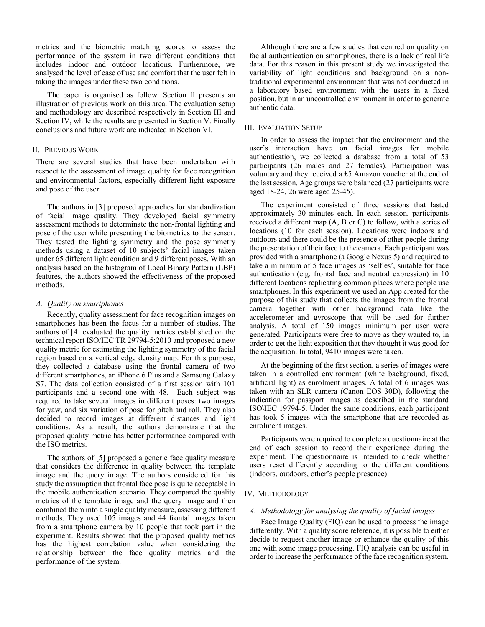metrics and the biometric matching scores to assess the performance of the system in two different conditions that includes indoor and outdoor locations. Furthermore, we analysed the level of ease of use and comfort that the user felt in taking the images under these two conditions.

The paper is organised as follow: Section II presents an illustration of previous work on this area. The evaluation setup and methodology are described respectively in Section III and Section IV, while the results are presented in Section V. Finally conclusions and future work are indicated in Section VI.

#### II. PREVIOUS WORK

There are several studies that have been undertaken with respect to the assessment of image quality for face recognition and environmental factors, especially different light exposure and pose of the user.

The authors in [3] proposed approaches for standardization of facial image quality. They developed facial symmetry assessment methods to determinate the non-frontal lighting and pose of the user while presenting the biometrics to the sensor. They tested the lighting symmetry and the pose symmetry methods using a dataset of 10 subjects' facial images taken under 65 different light condition and 9 different poses. With an analysis based on the histogram of Local Binary Pattern (LBP) features, the authors showed the effectiveness of the proposed methods.

#### *A. Quality on smartphones*

Recently, quality assessment for face recognition images on smartphones has been the focus for a number of studies. The authors of [4] evaluated the quality metrics established on the technical report ISO/IEC TR 29794-5:2010 and proposed a new quality metric for estimating the lighting symmetry of the facial region based on a vertical edge density map. For this purpose, they collected a database using the frontal camera of two different smartphones, an iPhone 6 Plus and a Samsung Galaxy S7. The data collection consisted of a first session with 101 participants and a second one with 48. Each subject was required to take several images in different poses: two images for yaw, and six variation of pose for pitch and roll. They also decided to record images at different distances and light conditions. As a result, the authors demonstrate that the proposed quality metric has better performance compared with the ISO metrics.

The authors of [5] proposed a generic face quality measure that considers the difference in quality between the template image and the query image. The authors considered for this study the assumption that frontal face pose is quite acceptable in the mobile authentication scenario. They compared the quality metrics of the template image and the query image and then combined them into a single quality measure, assessing different methods. They used 105 images and 44 frontal images taken from a smartphone camera by 10 people that took part in the experiment. Results showed that the proposed quality metrics has the highest correlation value when considering the relationship between the face quality metrics and the performance of the system.

Although there are a few studies that centred on quality on facial authentication on smartphones, there is a lack of real life data. For this reason in this present study we investigated the variability of light conditions and background on a nontraditional experimental environment that was not conducted in a laboratory based environment with the users in a fixed position, but in an uncontrolled environment in order to generate authentic data.

#### III. EVALUATION SETUP

In order to assess the impact that the environment and the user's interaction have on facial images for mobile authentication, we collected a database from a total of 53 participants (26 males and 27 females). Participation was voluntary and they received a £5 Amazon voucher at the end of the last session. Age groups were balanced (27 participants were aged 18-24, 26 were aged 25-45).

The experiment consisted of three sessions that lasted approximately 30 minutes each. In each session, participants received a different map (A, B or C) to follow, with a series of locations (10 for each session). Locations were indoors and outdoors and there could be the presence of other people during the presentation of their face to the camera. Each participant was provided with a smartphone (a Google Nexus 5) and required to take a minimum of 5 face images as 'selfies', suitable for face authentication (e.g. frontal face and neutral expression) in 10 different locations replicating common places where people use smartphones. In this experiment we used an App created for the purpose of this study that collects the images from the frontal camera together with other background data like the accelerometer and gyroscope that will be used for further analysis. A total of 150 images minimum per user were generated. Participants were free to move as they wanted to, in order to get the light exposition that they thought it was good for the acquisition. In total, 9410 images were taken.

At the beginning of the first section, a series of images were taken in a controlled environment (white background, fixed, artificial light) as enrolment images. A total of 6 images was taken with an SLR camera (Canon EOS 30D), following the indication for passport images as described in the standard ISO\IEC 19794-5. Under the same conditions, each participant has took 5 images with the smartphone that are recorded as enrolment images.

Participants were required to complete a questionnaire at the end of each session to record their experience during the experiment. The questionnaire is intended to check whether users react differently according to the different conditions (indoors, outdoors, other's people presence).

#### IV. METHODOLOGY

#### *A. Methodology for analysing the quality of facial images*

Face Image Quality (FIQ) can be used to process the image differently. With a quality score reference, it is possible to either decide to request another image or enhance the quality of this one with some image processing. FIQ analysis can be useful in order to increase the performance of the face recognition system.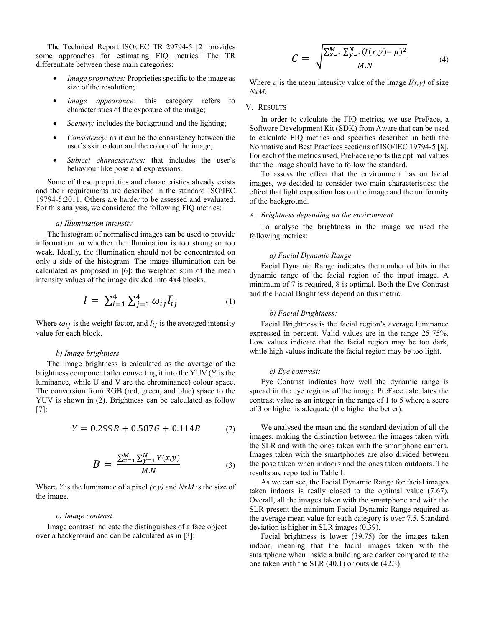The Technical Report ISO\IEC TR 29794-5 [2] provides some approaches for estimating FIQ metrics. The TR differentiate between these main categories:

- *Image proprieties:* Proprieties specific to the image as size of the resolution;
- *Image appearance:* this category refers to characteristics of the exposure of the image;
- *Scenery:* includes the background and the lighting;
- *Consistency:* as it can be the consistency between the user's skin colour and the colour of the image;
- *Subject characteristics:* that includes the user's behaviour like pose and expressions.

 Some of these proprieties and characteristics already exists and their requirements are described in the standard ISO\IEC 19794-5:2011. Others are harder to be assessed and evaluated. For this analysis, we considered the following FIQ metrics:

#### *a) Illumination intensity*

The histogram of normalised images can be used to provide information on whether the illumination is too strong or too weak. Ideally, the illumination should not be concentrated on only a side of the histogram. The image illumination can be calculated as proposed in [6]: the weighted sum of the mean intensity values of the image divided into 4x4 blocks.

$$
I = \sum_{i=1}^{4} \sum_{j=1}^{4} \omega_{ij} \bar{I}_{ij}
$$
 (1)

Where  $\omega_{ij}$  is the weight factor, and  $\bar{I}_{ij}$  is the averaged intensity value for each block.

#### *b) Image brightness*

The image brightness is calculated as the average of the brightness component after converting it into the YUV (Y is the luminance, while U and V are the chrominance) colour space. The conversion from RGB (red, green, and blue) space to the YUV is shown in (2). Brightness can be calculated as follow [7]:

$$
Y = 0.299R + 0.587G + 0.114B \tag{2}
$$

$$
B = \frac{\sum_{x=1}^{M} \sum_{y=1}^{N} Y(x, y)}{M.N}
$$
 (3)

Where *Y* is the luminance of a pixel *(x,y)* and *NxM* is the size of the image.

#### *c) Image contrast*

Image contrast indicate the distinguishes of a face object over a background and can be calculated as in [3]:

$$
C = \sqrt{\frac{\sum_{x=1}^{M} \sum_{y=1}^{N} (I(x,y) - \mu)^2}{M.N}}
$$
(4)

Where  $\mu$  is the mean intensity value of the image  $I(x, y)$  of size *NxM*.

#### V. RESULTS

In order to calculate the FIQ metrics, we use PreFace, a Software Development Kit (SDK) from Aware that can be used to calculate FIQ metrics and specifics described in both the Normative and Best Practices sections of ISO/IEC 19794-5 [8]. For each of the metrics used, PreFace reports the optimal values that the image should have to follow the standard.

To assess the effect that the environment has on facial images, we decided to consider two main characteristics: the effect that light exposition has on the image and the uniformity of the background.

#### *A. Brightness depending on the environment*

To analyse the brightness in the image we used the following metrics:

#### *a) Facial Dynamic Range*

Facial Dynamic Range indicates the number of bits in the dynamic range of the facial region of the input image. A minimum of 7 is required, 8 is optimal. Both the Eye Contrast and the Facial Brightness depend on this metric.

#### *b) Facial Brightness:*

Facial Brightness is the facial region's average luminance expressed in percent. Valid values are in the range 25-75%. Low values indicate that the facial region may be too dark, while high values indicate the facial region may be too light.

#### *c) Eye contrast:*

Eye Contrast indicates how well the dynamic range is spread in the eye regions of the image. PreFace calculates the contrast value as an integer in the range of 1 to 5 where a score of 3 or higher is adequate (the higher the better).

We analysed the mean and the standard deviation of all the images, making the distinction between the images taken with the SLR and with the ones taken with the smartphone camera. Images taken with the smartphones are also divided between the pose taken when indoors and the ones taken outdoors. The results are reported in Table I.

As we can see, the Facial Dynamic Range for facial images taken indoors is really closed to the optimal value (7.67). Overall, all the images taken with the smartphone and with the SLR present the minimum Facial Dynamic Range required as the average mean value for each category is over 7.5. Standard deviation is higher in SLR images (0.39).

Facial brightness is lower (39.75) for the images taken indoor, meaning that the facial images taken with the smartphone when inside a building are darker compared to the one taken with the SLR (40.1) or outside (42.3).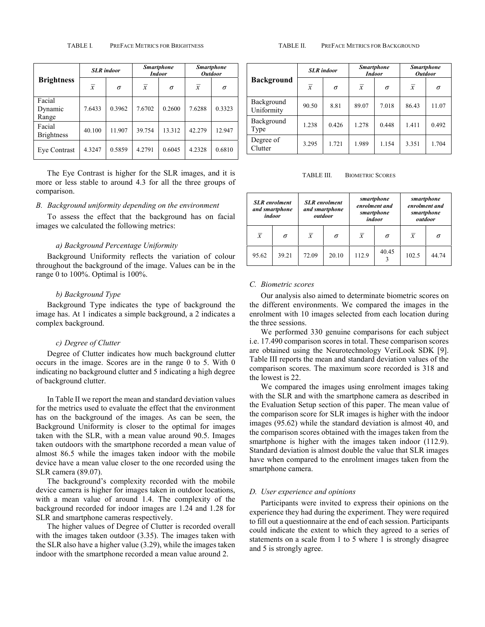| <b>Brightness</b>           | <b>SLR</b> indoor |          | <b>Smartphone</b><br><b>Indoor</b> |          | <b>Smartphone</b><br><b>Outdoor</b> |        |
|-----------------------------|-------------------|----------|------------------------------------|----------|-------------------------------------|--------|
|                             | $\overline{x}$    | $\sigma$ | $\overline{x}$                     | $\sigma$ | $\overline{x}$                      | σ      |
| Facial<br>Dynamic<br>Range  | 7.6433            | 0.3962   | 7.6702                             | 0.2600   | 7.6288                              | 0.3323 |
| Facial<br><b>Brightness</b> | 40.100            | 11.907   | 39.754                             | 13.312   | 42.279                              | 12.947 |
| Eve Contrast                | 4.3247            | 0.5859   | 4.2791                             | 0.6045   | 4.2328                              | 0.6810 |

The Eye Contrast is higher for the SLR images, and it is more or less stable to around 4.3 for all the three groups of comparison.

#### *B. Background uniformity depending on the environment*

To assess the effect that the background has on facial images we calculated the following metrics:

#### *a) Background Percentage Uniformity*

Background Uniformity reflects the variation of colour throughout the background of the image. Values can be in the range 0 to 100%. Optimal is 100%.

#### *b) Background Type*

Background Type indicates the type of background the image has. At 1 indicates a simple background, a 2 indicates a complex background.

#### *c) Degree of Clutter*

Degree of Clutter indicates how much background clutter occurs in the image. Scores are in the range 0 to 5. With 0 indicating no background clutter and 5 indicating a high degree of background clutter.

In Table II we report the mean and standard deviation values for the metrics used to evaluate the effect that the environment has on the background of the images. As can be seen, the Background Uniformity is closer to the optimal for images taken with the SLR, with a mean value around 90.5. Images taken outdoors with the smartphone recorded a mean value of almost 86.5 while the images taken indoor with the mobile device have a mean value closer to the one recorded using the SLR camera (89.07).

The background's complexity recorded with the mobile device camera is higher for images taken in outdoor locations, with a mean value of around 1.4. The complexity of the background recorded for indoor images are 1.24 and 1.28 for SLR and smartphone cameras respectively.

The higher values of Degree of Clutter is recorded overall with the images taken outdoor (3.35). The images taken with the SLR also have a higher value (3.29), while the images taken indoor with the smartphone recorded a mean value around 2.

#### TABLE II. PREFACE METRICS FOR BACKGROUND

| <b>Background</b>        | <b>SLR</b> indoor |       | <b>Smartphone</b><br><i>Indoor</i> |          | <b>Smartphone</b><br><b>Outdoor</b> |          |
|--------------------------|-------------------|-------|------------------------------------|----------|-------------------------------------|----------|
|                          | $\overline{x}$    | σ     | $\overline{x}$                     | $\sigma$ | $\overline{x}$                      | $\sigma$ |
| Background<br>Uniformity | 90.50             | 8.81  | 89.07                              | 7.018    | 86.43                               | 11.07    |
| Background<br>Type       | 1.238             | 0.426 | 1.278                              | 0.448    | 1.411                               | 0.492    |
| Degree of<br>Clutter     | 3.295             | 1.721 | 1.989                              | 1.154    | 3.351                               | 1.704    |

TABLE III. BIOMETRIC SCORES

|                | <b>SLR</b> enrolment<br>and smartphone<br>indoor | smartphone<br><b>SLR</b> enrolment<br>enrolment and<br>and smartphone<br>smartphone<br>outdoor<br>indoor |          |                | smartphone<br>enrolment and<br>smartphone<br>outdoor |                |          |
|----------------|--------------------------------------------------|----------------------------------------------------------------------------------------------------------|----------|----------------|------------------------------------------------------|----------------|----------|
| $\overline{x}$ | σ                                                | $\bar{x}$                                                                                                | $\sigma$ | $\overline{x}$ | σ                                                    | $\overline{x}$ | $\sigma$ |
| 95.62          | 39.21                                            | 72.09                                                                                                    | 20.10    | 112.9          | 40.45                                                | 102.5          | 44 74    |

#### *C. Biometric scores*

Our analysis also aimed to determinate biometric scores on the different environments. We compared the images in the enrolment with 10 images selected from each location during the three sessions.

We performed 330 genuine comparisons for each subject i.e. 17.490 comparison scores in total. These comparison scores are obtained using the Neurotechnology VeriLook SDK [9]. Table III reports the mean and standard deviation values of the comparison scores. The maximum score recorded is 318 and the lowest is 22.

We compared the images using enrolment images taking with the SLR and with the smartphone camera as described in the Evaluation Setup section of this paper. The mean value of the comparison score for SLR images is higher with the indoor images (95.62) while the standard deviation is almost 40, and the comparison scores obtained with the images taken from the smartphone is higher with the images taken indoor  $(112.9)$ . Standard deviation is almost double the value that SLR images have when compared to the enrolment images taken from the smartphone camera.

#### *D. User experience and opinions*

Participants were invited to express their opinions on the experience they had during the experiment. They were required to fill out a questionnaire at the end of each session. Participants could indicate the extent to which they agreed to a series of statements on a scale from 1 to 5 where 1 is strongly disagree and 5 is strongly agree.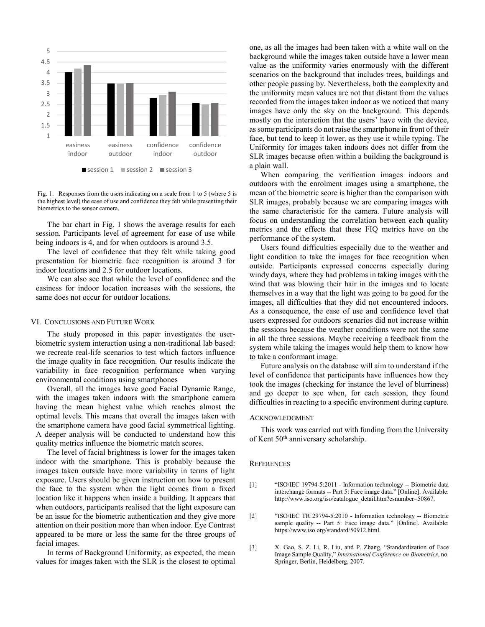

Fig. 1. Responses from the users indicating on a scale from 1 to 5 (where 5 is the highest level) the ease of use and confidence they felt while presenting their biometrics to the sensor camera.

The bar chart in Fig. 1 shows the average results for each session. Participants level of agreement for ease of use while being indoors is 4, and for when outdoors is around 3.5.

The level of confidence that they felt while taking good presentation for biometric face recognition is around 3 for indoor locations and 2.5 for outdoor locations.

We can also see that while the level of confidence and the easiness for indoor location increases with the sessions, the same does not occur for outdoor locations.

#### VI. CONCLUSIONS AND FUTURE WORK

The study proposed in this paper investigates the userbiometric system interaction using a non-traditional lab based: we recreate real-life scenarios to test which factors influence the image quality in face recognition. Our results indicate the variability in face recognition performance when varying environmental conditions using smartphones

Overall, all the images have good Facial Dynamic Range, with the images taken indoors with the smartphone camera having the mean highest value which reaches almost the optimal levels. This means that overall the images taken with the smartphone camera have good facial symmetrical lighting. A deeper analysis will be conducted to understand how this quality metrics influence the biometric match scores.

The level of facial brightness is lower for the images taken indoor with the smartphone. This is probably because the images taken outside have more variability in terms of light exposure. Users should be given instruction on how to present the face to the system when the light comes from a fixed location like it happens when inside a building. It appears that when outdoors, participants realised that the light exposure can be an issue for the biometric authentication and they give more attention on their position more than when indoor. Eye Contrast appeared to be more or less the same for the three groups of facial images.

In terms of Background Uniformity, as expected, the mean values for images taken with the SLR is the closest to optimal

one, as all the images had been taken with a white wall on the background while the images taken outside have a lower mean value as the uniformity varies enormously with the different scenarios on the background that includes trees, buildings and other people passing by. Nevertheless, both the complexity and the uniformity mean values are not that distant from the values recorded from the images taken indoor as we noticed that many images have only the sky on the background. This depends mostly on the interaction that the users' have with the device, as some participants do not raise the smartphone in front of their face, but tend to keep it lower, as they use it while typing. The Uniformity for images taken indoors does not differ from the SLR images because often within a building the background is a plain wall.

When comparing the verification images indoors and outdoors with the enrolment images using a smartphone, the mean of the biometric score is higher than the comparison with SLR images, probably because we are comparing images with the same characteristic for the camera. Future analysis will focus on understanding the correlation between each quality metrics and the effects that these FIQ metrics have on the performance of the system.

Users found difficulties especially due to the weather and light condition to take the images for face recognition when outside. Participants expressed concerns especially during windy days, where they had problems in taking images with the wind that was blowing their hair in the images and to locate themselves in a way that the light was going to be good for the images, all difficulties that they did not encountered indoors. As a consequence, the ease of use and confidence level that users expressed for outdoors scenarios did not increase within the sessions because the weather conditions were not the same in all the three sessions. Maybe receiving a feedback from the system while taking the images would help them to know how to take a conformant image.

Future analysis on the database will aim to understand if the level of confidence that participants have influences how they took the images (checking for instance the level of blurriness) and go deeper to see when, for each session, they found difficulties in reacting to a specific environment during capture.

#### ACKNOWLEDGMENT

This work was carried out with funding from the University of Kent 50<sup>th</sup> anniversary scholarship.

#### **REFERENCES**

- [1] <sup>a</sup>ISO/IEC 19794-5:2011 Information technology -- Biometric data interchange formats -- Part 5: Face image data." [Online]. Available: http://www.iso.org/iso/catalogue\_detail.htm?csnumber=50867.
- [2] <sup>21</sup>ISO/IEC TR 29794-5:2010 Information technology -- Biometric sample quality -- Part 5: Face image data." [Online]. Available: https://www.iso.org/standard/50912.html.
- [3] X. Gao, S. Z. Li, R. Liu, and P. Zhang, "Standardization of Face Image Sample Quality,î *International Conference on Biometrics*, no. Springer, Berlin, Heidelberg, 2007.